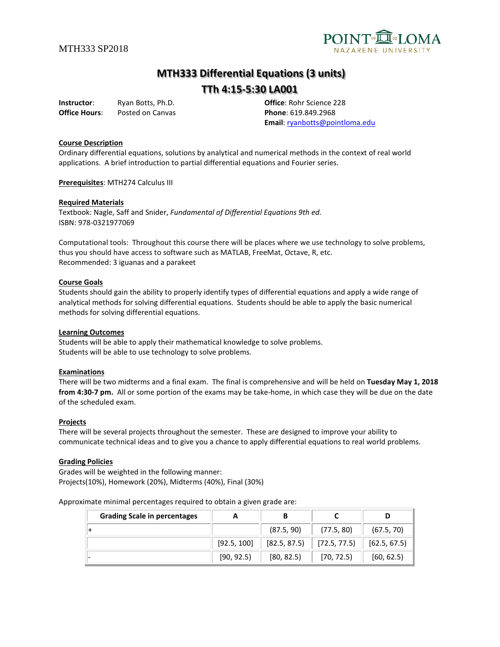

# **MTH333 Differential Equations (3 units)**

## **TTh 4:15-5:30 LA001**

**Instructor**: Ryan Botts, Ph.D. **Office**: Rohr Science 228 **Office Hours:** Posted on Canvas **Phone**: 619.849.2968

**Email**: [ryanbotts@pointloma.edu](mailto:ryanbotts@pointloma.edu)

#### **Course Description**

Ordinary differential equations, solutions by analytical and numerical methods in the context of real world applications. A brief introduction to partial differential equations and Fourier series.

**Prerequisites**: MTH274 Calculus III

#### **Required Materials**

Textbook: Nagle, Saff and Snider, *Fundamental of Differential Equations 9th ed.* ISBN: 978-0321977069

Computational tools: Throughout this course there will be places where we use technology to solve problems, thus you should have access to software such as MATLAB, FreeMat, Octave, R, etc. Recommended: 3 iguanas and a parakeet

#### **Course Goals**

Students should gain the ability to properly identify types of differential equations and apply a wide range of analytical methods for solving differential equations. Students should be able to apply the basic numerical methods for solving differential equations.

#### **Learning Outcomes**

Students will be able to apply their mathematical knowledge to solve problems. Students will be able to use technology to solve problems.

#### **Examinations**

There will be two midterms and a final exam. The final is comprehensive and will be held on **Tuesday May 1, 2018 from 4:30-7 pm.** All or some portion of the exams may be take-home, in which case they will be due on the date of the scheduled exam.

#### **Projects**

There will be several projects throughout the semester. These are designed to improve your ability to communicate technical ideas and to give you a chance to apply differential equations to real world problems.

#### **Grading Policies**

Grades will be weighted in the following manner: Projects(10%), Homework (20%), Midterms (40%), Final (30%)

Approximate minimal percentages required to obtain a given grade are:

| <b>Grading Scale in percentages</b> | A           | В            |                          |              |
|-------------------------------------|-------------|--------------|--------------------------|--------------|
|                                     |             | (87.5, 90)   | (77.5, 80)               | (67.5, 70)   |
|                                     | [92.5, 100] | [82.5, 87.5] | $\parallel$ [72.5, 77.5) | [62.5, 67.5] |
|                                     | [90, 92.5]  | [80, 82.5]   | [70, 72.5]               | [60, 62.5]   |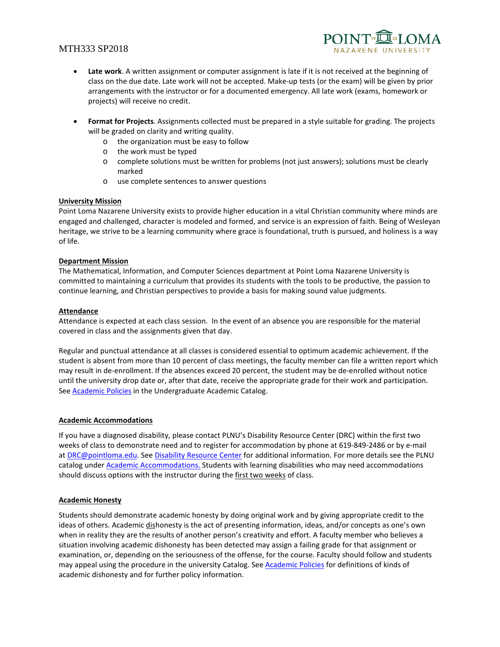### MTH333 SP2018



- **Late work**. A written assignment or computer assignment is late if it is not received at the beginning of class on the due date. Late work will not be accepted. Make-up tests (or the exam) will be given by prior arrangements with the instructor or for a documented emergency. All late work (exams, homework or projects) will receive no credit.
- **Format for Projects**. Assignments collected must be prepared in a style suitable for grading. The projects will be graded on clarity and writing quality.
	- o the organization must be easy to follow
	- o the work must be typed
	- o complete solutions must be written for problems (not just answers); solutions must be clearly marked
	- o use complete sentences to answer questions

#### **University Mission**

Point Loma Nazarene University exists to provide higher education in a vital Christian community where minds are engaged and challenged, character is modeled and formed, and service is an expression of faith. Being of Wesleyan heritage, we strive to be a learning community where grace is foundational, truth is pursued, and holiness is a way of life.

#### **Department Mission**

The Mathematical, Information, and Computer Sciences department at Point Loma Nazarene University is committed to maintaining a curriculum that provides its students with the tools to be productive, the passion to continue learning, and Christian perspectives to provide a basis for making sound value judgments.

#### **Attendance**

Attendance is expected at each class session. In the event of an absence you are responsible for the material covered in class and the assignments given that day.

Regular and punctual attendance at all classes is considered essential to optimum academic achievement. If the student is absent from more than 10 percent of class meetings, the faculty member can file a written report which may result in de-enrollment. If the absences exceed 20 percent, the student may be de-enrolled without notice until the university drop date or, after that date, receive the appropriate grade for their work and participation. See **Academic Policies** in the Undergraduate Academic Catalog.

#### **Academic Accommodations**

If you have a diagnosed disability, please contact PLNU's Disability Resource Center (DRC) within the first two weeks of class to demonstrate need and to register for accommodation by phone at 619-849-2486 or by e-mail a[t DRC@pointloma.edu.](mailto:DRC@pointloma.edu) Se[e Disability Resource Center](http://www.pointloma.edu/experience/offices/administrative-offices/academic-advising-office/disability-resource-center) for additional information. For more details see the PLNU catalog under [Academic Accommodations.](https://catalog.pointloma.edu/content.php?catoid=28&navoid=1761#Academic_Accommodations) Students with learning disabilities who may need accommodations should discuss options with the instructor during the first two weeks of class.

#### **Academic Honesty**

Students should demonstrate academic honesty by doing original work and by giving appropriate credit to the ideas of others. Academic dishonesty is the act of presenting information, ideas, and/or concepts as one's own when in reality they are the results of another person's creativity and effort. A faculty member who believes a situation involving academic dishonesty has been detected may assign a failing grade for that assignment or examination, or, depending on the seriousness of the offense, for the course. Faculty should follow and students may appeal using the procedure in the university Catalog. See [Academic Policies](http://catalog.pointloma.edu/content.php?catoid=18&navoid=1278) for definitions of kinds of academic dishonesty and for further policy information.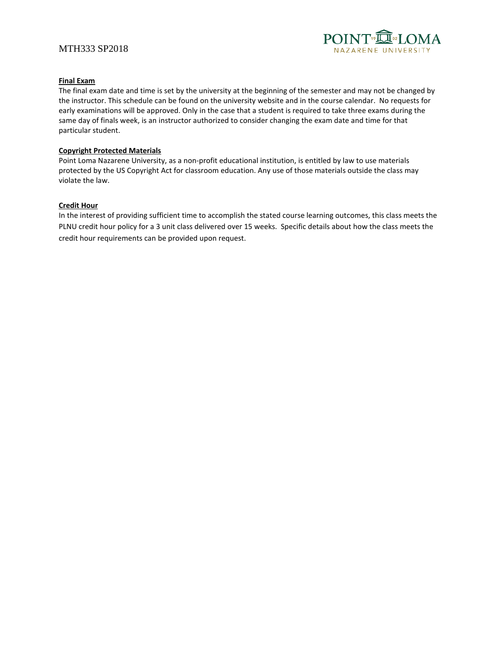### MTH333 SP2018



#### **Final Exam**

The final exam date and time is set by the university at the beginning of the semester and may not be changed by the instructor. This schedule can be found on the university website and in the course calendar. No requests for early examinations will be approved. Only in the case that a student is required to take three exams during the same day of finals week, is an instructor authorized to consider changing the exam date and time for that particular student.

#### **Copyright Protected Materials**

Point Loma Nazarene University, as a non-profit educational institution, is entitled by law to use materials protected by the US Copyright Act for classroom education. Any use of those materials outside the class may violate the law.

#### **Credit Hour**

In the interest of providing sufficient time to accomplish the stated course learning outcomes, this class meets the PLNU credit hour policy for a 3 unit class delivered over 15 weeks. Specific details about how the class meets the credit hour requirements can be provided upon request.